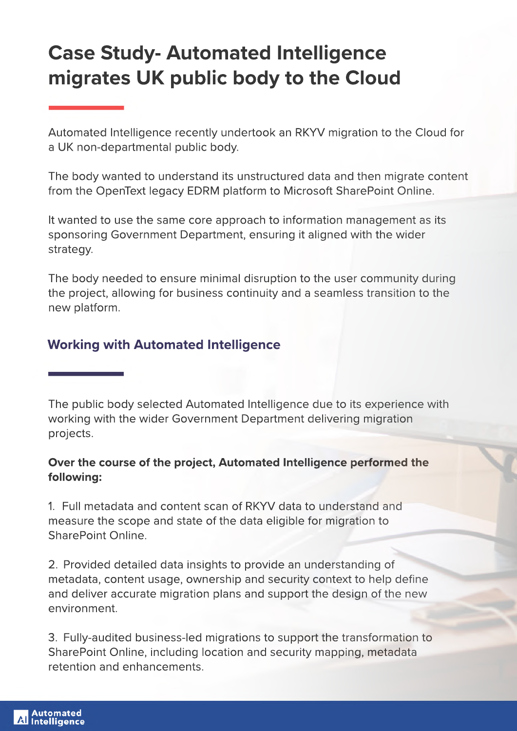# **Case Study-Automated Intelligence** migrates UK public body to the Cloud

Automated Intelligence recently undertook an RKYV migration to the Cloud for a UK non-departmental public body.

The body wanted to understand its unstructured data and then migrate content from the OpenText legacy EDRM platform to Microsoft SharePoint Online.

It wanted to use the same core approach to information management as its sponsoring Government Department, ensuring it aligned with the wider strategy.

The body needed to ensure minimal disruption to the user community during the project, allowing for business continuity and a seamless transition to the new platform.

# **Working with Automated Intelligence**

The public body selected Automated Intelligence due to its experience with working with the wider Government Department delivering migration projects.

## Over the course of the project, Automated Intelligence performed the **following:**

1. Full metadata and content scan of RKYV data to understand and measure the scope and state of the data eligible for migration to SharePoint Online.

2. Provided detailed data insights to provide an understanding of metadata, content usage, ownership and security context to help define and deliver accurate migration plans and support the design of the new environment.

3. Fully-audited business-led migrations to support the transformation to SharePoint Online, including location and security mapping, metadata retention and enhancements.